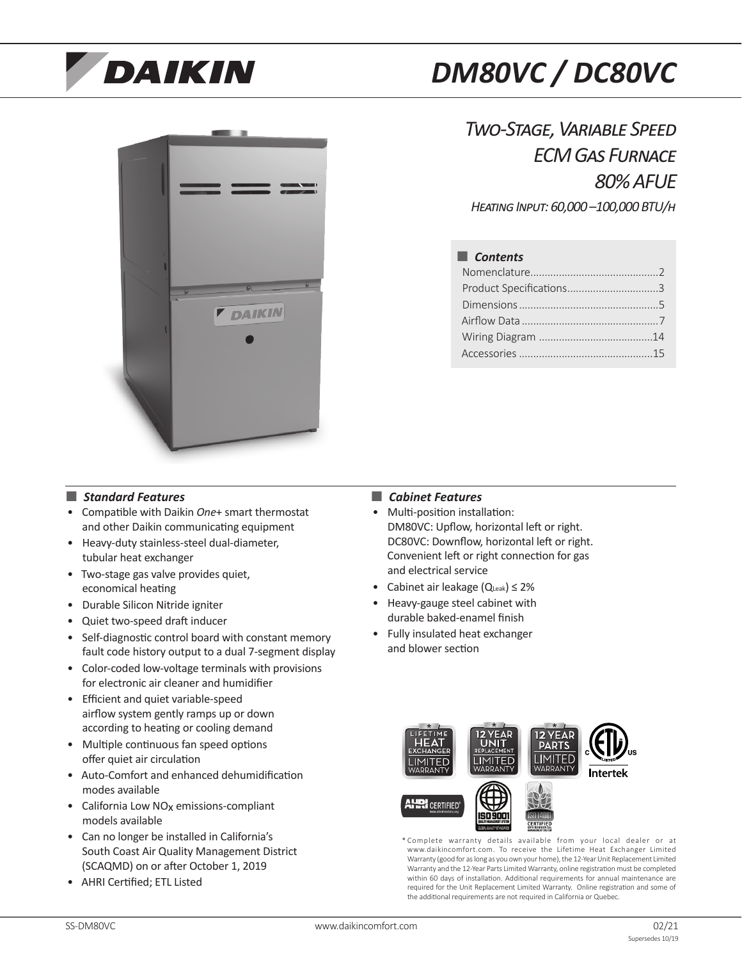# **DAIKIN**





*Two-Stage, Variable Speed ECM Gas Furnace 80% AFUE Heating Input: 60,000 –100,000 BTU/h*

# ■ *Contents*

## ■ *Standard Features*

- Compatible with Daikin *One*+ smart thermostat and other Daikin communicating equipment
- Heavy-duty stainless-steel dual-diameter, tubular heat exchanger
- Two-stage gas valve provides quiet, economical heating
- Durable Silicon Nitride igniter
- Quiet two-speed draft inducer
- Self-diagnostic control board with constant memory fault code history output to a dual 7-segment display
- Color-coded low-voltage terminals with provisions for electronic air cleaner and humidifier
- Efficient and quiet variable-speed airflow system gently ramps up or down according to heating or cooling demand
- Multiple continuous fan speed options offer quiet air circulation
- Auto-Comfort and enhanced dehumidification modes available
- California Low NO<sub>x</sub> emissions-compliant models available
- Can no longer be installed in California's South Coast Air Quality Management District (SCAQMD) on or after October 1, 2019
- AHRI Certified; ETL Listed

## ■ *Cabinet Features*

- Multi-position installation: DM80VC: Upflow, horizontal left or right. DC80VC: Downflow, horizontal left or right. Convenient left or right connection for gas and electrical service
- Cabinet air leakage  $(Q_{\text{Leak}}) \leq 2\%$
- Heavy-gauge steel cabinet with durable baked-enamel finish
- Fully insulated heat exchanger and blower section



\* Complete warranty details available from your local dealer or at www.daikincomfort.com. To receive the Lifetime Heat Exchanger Limited Warranty (good for as long as you own your home), the 12-Year Unit Replacement Limited Warranty and the 12-Year Parts Limited Warranty, online registration must be completed within 60 days of installation. Additional requirements for annual maintenance are required for the Unit Replacement Limited Warranty. Online registration and some of the additional requirements are not required in California or Quebec.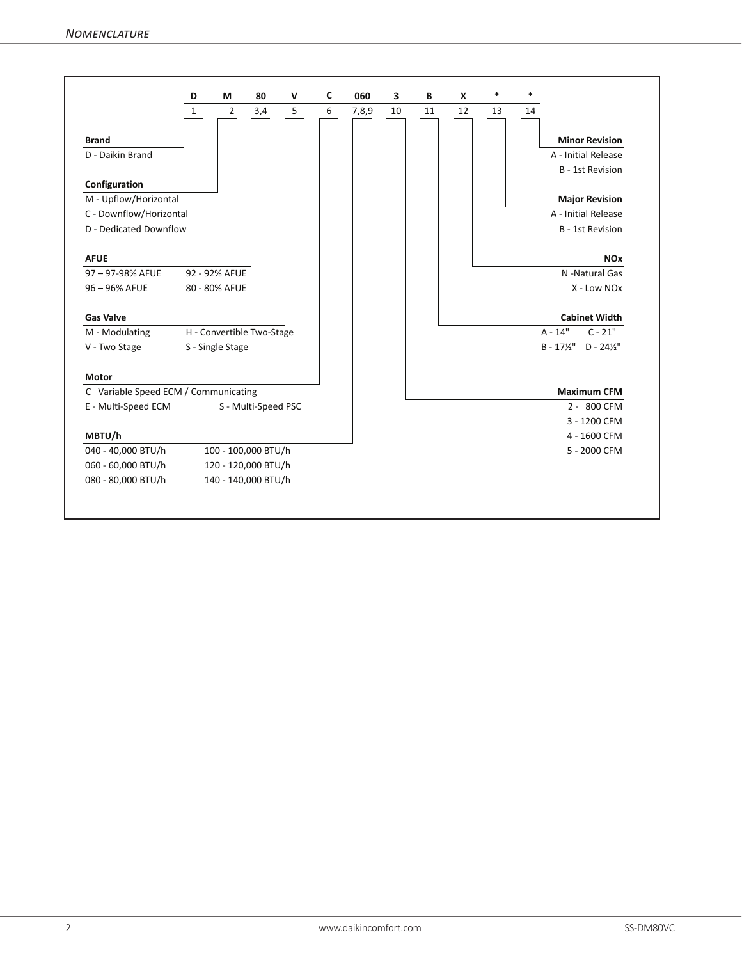|                                      | D            | M                | 80                        | $\mathbf v$ | C | 060   | 3  | B  | X  | $\ast$ | $\ast$ |                                              |
|--------------------------------------|--------------|------------------|---------------------------|-------------|---|-------|----|----|----|--------|--------|----------------------------------------------|
|                                      | $\mathbf{1}$ | $\overline{2}$   | 3,4                       | 5           | 6 | 7,8,9 | 10 | 11 | 12 | 13     | 14     |                                              |
| <b>Brand</b>                         |              |                  |                           |             |   |       |    |    |    |        |        | <b>Minor Revision</b>                        |
| D - Daikin Brand                     |              |                  |                           |             |   |       |    |    |    |        |        | A - Initial Release                          |
|                                      |              |                  |                           |             |   |       |    |    |    |        |        | B - 1st Revision                             |
| Configuration                        |              |                  |                           |             |   |       |    |    |    |        |        |                                              |
| M - Upflow/Horizontal                |              |                  |                           |             |   |       |    |    |    |        |        | <b>Major Revision</b>                        |
| C - Downflow/Horizontal              |              |                  |                           |             |   |       |    |    |    |        |        | A - Initial Release                          |
| D - Dedicated Downflow               |              |                  |                           |             |   |       |    |    |    |        |        | B - 1st Revision                             |
|                                      |              |                  |                           |             |   |       |    |    |    |        |        |                                              |
| <b>AFUE</b>                          |              |                  |                           |             |   |       |    |    |    |        |        | <b>NO<sub>x</sub></b>                        |
| 97-97-98% AFUE                       |              | 92 - 92% AFUE    |                           |             |   |       |    |    |    |        |        | N -Natural Gas                               |
| 96-96% AFUE                          |              | 80 - 80% AFUE    |                           |             |   |       |    |    |    |        |        | X - Low NOx                                  |
|                                      |              |                  |                           |             |   |       |    |    |    |        |        |                                              |
| <b>Gas Valve</b>                     |              |                  |                           |             |   |       |    |    |    |        |        | <b>Cabinet Width</b>                         |
| M - Modulating                       |              |                  | H - Convertible Two-Stage |             |   |       |    |    |    |        |        | $A - 14"$<br>$C - 21"$                       |
| V - Two Stage                        |              | S - Single Stage |                           |             |   |       |    |    |    |        |        | $B - 17\frac{1}{2}$ " D - 24 $\frac{1}{2}$ " |
|                                      |              |                  |                           |             |   |       |    |    |    |        |        |                                              |
| Motor                                |              |                  |                           |             |   |       |    |    |    |        |        |                                              |
| C Variable Speed ECM / Communicating |              |                  |                           |             |   |       |    |    |    |        |        | <b>Maximum CFM</b>                           |
| E - Multi-Speed ECM                  |              |                  | S - Multi-Speed PSC       |             |   |       |    |    |    |        |        | 2 - 800 CFM                                  |
|                                      |              |                  |                           |             |   |       |    |    |    |        |        | 3 - 1200 CFM                                 |
| MBTU/h                               |              |                  |                           |             |   |       |    |    |    |        |        | 4 - 1600 CFM                                 |
| 040 - 40,000 BTU/h                   |              |                  | 100 - 100,000 BTU/h       |             |   |       |    |    |    |        |        | 5 - 2000 CFM                                 |
| 060 - 60,000 BTU/h                   |              |                  | 120 - 120,000 BTU/h       |             |   |       |    |    |    |        |        |                                              |
|                                      |              |                  | 140 - 140,000 BTU/h       |             |   |       |    |    |    |        |        |                                              |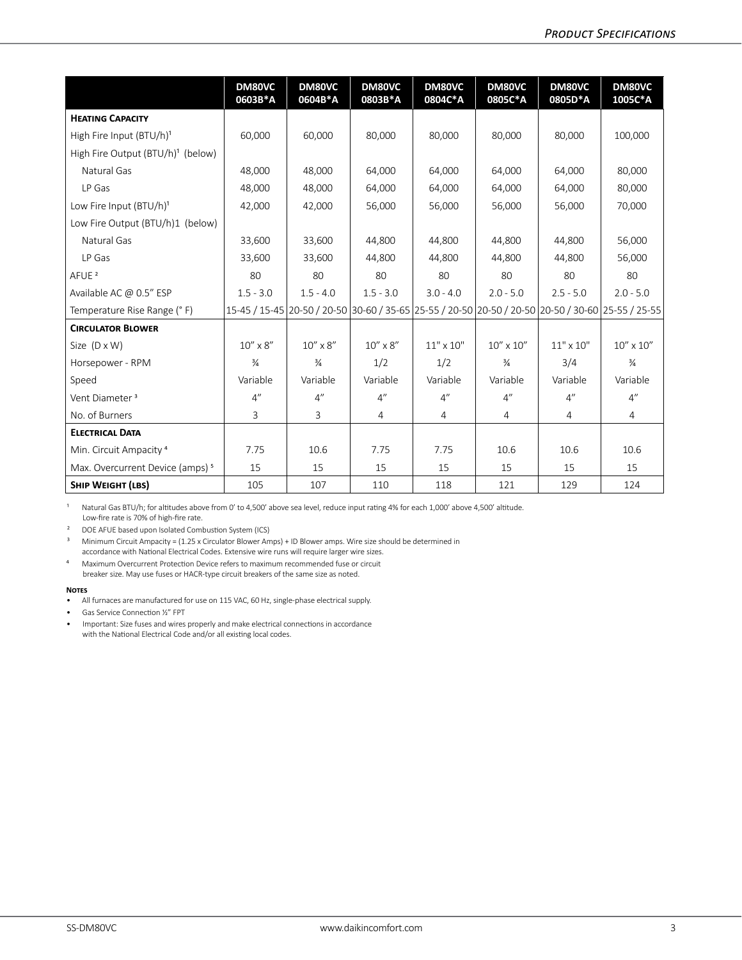|                                               | <b>DM80VC</b><br>0603B*A | DM80VC<br>0604B*A | DM80VC<br>0803B*A | DM80VC<br>0804C*A | DM80VC<br>0805C*A  | DM80VC<br>0805D*A  | <b>DM80VC</b><br>1005C*A                                                                    |
|-----------------------------------------------|--------------------------|-------------------|-------------------|-------------------|--------------------|--------------------|---------------------------------------------------------------------------------------------|
| <b>HEATING CAPACITY</b>                       |                          |                   |                   |                   |                    |                    |                                                                                             |
| High Fire Input (BTU/h) <sup>1</sup>          | 60,000                   | 60,000            | 80,000            | 80,000            | 80,000             | 80,000             | 100,000                                                                                     |
| High Fire Output (BTU/h) <sup>1</sup> (below) |                          |                   |                   |                   |                    |                    |                                                                                             |
| Natural Gas                                   | 48,000                   | 48,000            | 64,000            | 64,000            | 64,000             | 64,000             | 80.000                                                                                      |
| LP Gas                                        | 48,000                   | 48,000            | 64,000            | 64,000            | 64,000             | 64,000             | 80,000                                                                                      |
| Low Fire Input $(BTU/h)^1$                    | 42,000                   | 42,000            | 56,000            | 56,000            | 56,000             | 56,000             | 70,000                                                                                      |
| Low Fire Output (BTU/h)1 (below)              |                          |                   |                   |                   |                    |                    |                                                                                             |
| Natural Gas                                   | 33.600                   | 33.600            | 44.800            | 44.800            | 44.800             | 44.800             | 56.000                                                                                      |
| LP Gas                                        | 33.600                   | 33.600            | 44.800            | 44.800            | 44.800             | 44.800             | 56.000                                                                                      |
| AFUE <sup>2</sup>                             | 80                       | 80                | 80                | 80                | 80                 | 80                 | 80                                                                                          |
| Available AC @ 0.5" ESP                       | $1.5 - 3.0$              | $1.5 - 4.0$       | $1.5 - 3.0$       | $3.0 - 4.0$       | $2.0 - 5.0$        | $2.5 - 5.0$        | $2.0 - 5.0$                                                                                 |
| Temperature Rise Range (°F)                   |                          |                   |                   |                   |                    |                    | 15-45 / 15-45 20-50 / 20-50 30-60 / 35-65 25-55 / 20-50 20-50 / 20-50 / 30-60 25-55 / 25-55 |
| <b>CIRCULATOR BLOWER</b>                      |                          |                   |                   |                   |                    |                    |                                                                                             |
| Size $(D \times W)$                           | $10'' \times 8''$        | $10'' \times 8''$ | $10'' \times 8''$ | $11" \times 10"$  | $10'' \times 10''$ | $11" \times 10"$   | $10'' \times 10''$                                                                          |
| Horsepower - RPM                              | $\frac{3}{4}$            | $\frac{3}{4}$     | 1/2               | 1/2               | $\frac{3}{4}$      | 3/4                | $\frac{3}{4}$                                                                               |
| Speed                                         | Variable                 | Variable          | Variable          | Variable          | Variable           | Variable           | Variable                                                                                    |
| Vent Diameter <sup>3</sup>                    | 4"                       | 4"                | 4"                | 4"                | 4"                 | $4^{\prime\prime}$ | $4^{\prime\prime}$                                                                          |
| No. of Burners                                | 3                        | 3                 | 4                 | $\overline{4}$    | 4                  | 4                  | $\overline{4}$                                                                              |
| <b>ELECTRICAL DATA</b>                        |                          |                   |                   |                   |                    |                    |                                                                                             |
| Min. Circuit Ampacity <sup>4</sup>            | 7.75                     | 10.6              | 7.75              | 7.75              | 10.6               | 10.6               | 10.6                                                                                        |
| Max. Overcurrent Device (amps) <sup>5</sup>   | 15                       | 15                | 15                | 15                | 15                 | 15                 | 15                                                                                          |
| <b>SHIP WEIGHT (LBS)</b>                      | 105                      | 107               | 110               | 118               | 121                | 129                | 124                                                                                         |

1 Natural Gas BTU/h; for altitudes above from 0' to 4,500' above sea level, reduce input rating 4% for each 1,000' above 4,500' altitude. Low-fire rate is 70% of high-fire rate.

² DOE AFUE based upon Isolated Combustion System (ICS)

<sup>3</sup> Minimum Circuit Ampacity = (1.25 x Circulator Blower Amps) + ID Blower amps. Wire size should be determined in accordance with National Electrical Codes. Extensive wire runs will require larger wire sizes.

⁴ Maximum Overcurrent Protection Device refers to maximum recommended fuse or circuit breaker size. May use fuses or HACR-type circuit breakers of the same size as noted.

#### **Notes**

- All furnaces are manufactured for use on 115 VAC, 60 Hz, single-phase electrical supply.
- Gas Service Connection ½" FPT
- Important: Size fuses and wires properly and make electrical connections in accordance with the National Electrical Code and/or all existing local codes.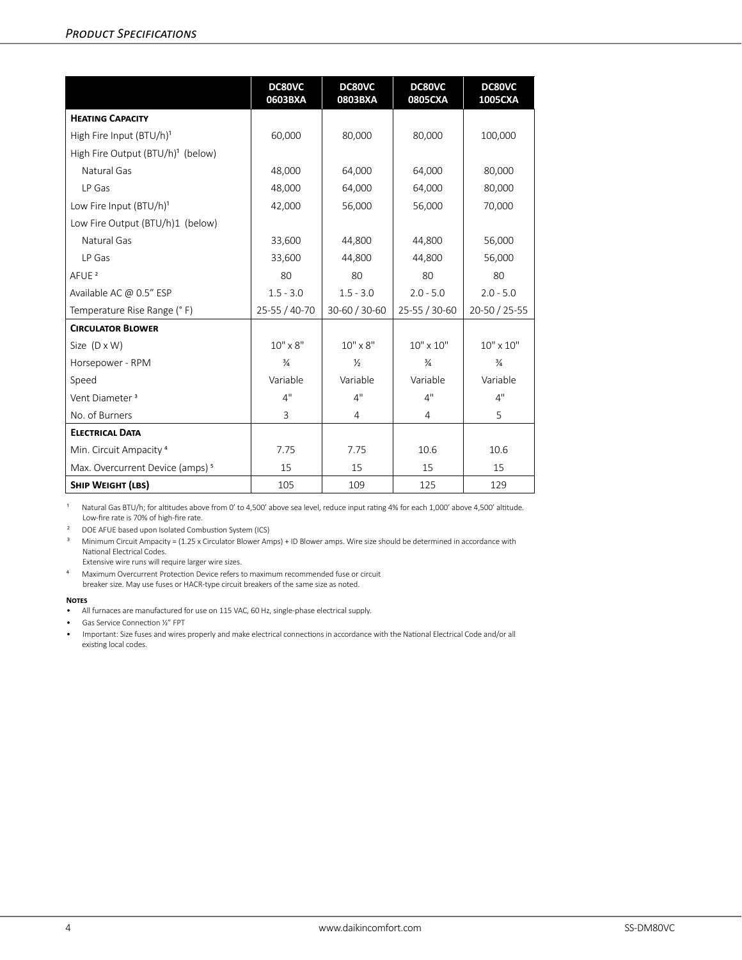|                                               | DC80VC<br>0603BXA | DC80VC<br>0803BXA | DC80VC<br>0805CXA  | DC80VC<br>1005CXA |
|-----------------------------------------------|-------------------|-------------------|--------------------|-------------------|
| <b>HEATING CAPACITY</b>                       |                   |                   |                    |                   |
| High Fire Input (BTU/h) <sup>1</sup>          | 60,000            | 80,000            | 80,000             | 100,000           |
| High Fire Output (BTU/h) <sup>1</sup> (below) |                   |                   |                    |                   |
| Natural Gas                                   | 48,000            | 64,000            | 64,000             | 80,000            |
| LP Gas                                        | 48,000            | 64,000            | 64,000             | 80,000            |
| Low Fire Input (BTU/h) <sup>1</sup>           | 42,000            | 56,000            | 56,000             | 70,000            |
| Low Fire Output (BTU/h)1 (below)              |                   |                   |                    |                   |
| Natural Gas                                   | 33,600            | 44,800            | 44,800             | 56,000            |
| LP Gas                                        | 33,600            | 44,800            | 44,800             | 56,000            |
| AFUE <sup>2</sup>                             | 80                | 80                | 80                 | 80                |
| Available AC @ 0.5" ESP                       | $1.5 - 3.0$       | $1.5 - 3.0$       | $2.0 - 5.0$        | $2.0 - 5.0$       |
| Temperature Rise Range (°F)                   | 25-55 / 40-70     | 30-60 / 30-60     | 25-55 / 30-60      | 20-50 / 25-55     |
| <b>CIRCULATOR BLOWER</b>                      |                   |                   |                    |                   |
| Size $(D \times W)$                           | $10'' \times 8''$ | $10'' \times 8''$ | $10'' \times 10''$ | $10" \times 10"$  |
| Horsepower - RPM                              | $\frac{3}{4}$     | $\frac{1}{2}$     | $\frac{3}{4}$      | $\frac{3}{4}$     |
| Speed                                         | Variable          | Variable          | Variable           | Variable          |
| Vent Diameter <sup>3</sup>                    | 4"                | 4"                | 4"                 | 4"                |
| No. of Burners                                | 3                 | $\overline{4}$    | $\overline{4}$     | 5                 |
| <b>ELECTRICAL DATA</b>                        |                   |                   |                    |                   |
| Min. Circuit Ampacity <sup>4</sup>            | 7.75              | 7.75              | 10.6               | 10.6              |
| Max. Overcurrent Device (amps) <sup>5</sup>   | 15                | 15                | 15                 | 15                |
| <b>SHIP WEIGHT (LBS)</b>                      | 105               | 109               | 125                | 129               |

1 Natural Gas BTU/h; for altitudes above from 0' to 4,500' above sea level, reduce input rating 4% for each 1,000' above 4,500' altitude. Low-fire rate is 70% of high-fire rate.

² DOE AFUE based upon Isolated Combustion System (ICS)

³ Minimum Circuit Ampacity = (1.25 x Circulator Blower Amps) + ID Blower amps. Wire size should be determined in accordance with National Electrical Codes.

Extensive wire runs will require larger wire sizes.

⁴ Maximum Overcurrent Protection Device refers to maximum recommended fuse or circuit breaker size. May use fuses or HACR-type circuit breakers of the same size as noted.

#### **Notes**

- All furnaces are manufactured for use on 115 VAC, 60 Hz, single-phase electrical supply.
- Gas Service Connection ½" FPT
- Important: Size fuses and wires properly and make electrical connections in accordance with the National Electrical Code and/or all existing local codes.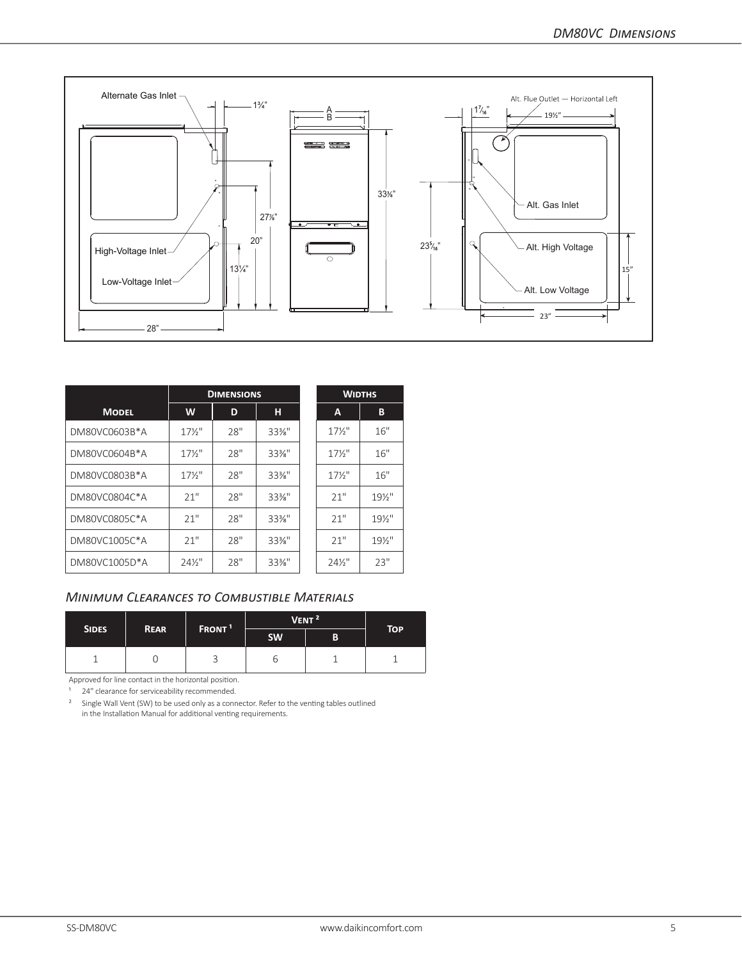

|               |                   | <b>DIMENSIONS</b> |          |                   | <b>WIDTHS</b>     |
|---------------|-------------------|-------------------|----------|-------------------|-------------------|
| <b>MODEL</b>  | W                 | D                 | н        | A                 | В                 |
| DM80VC0603B*A | $17\frac{1}{2}$   | 28"               | $33\%$ " | $17\frac{1}{2}$   | 16"               |
| DM80VC0604B*A | $17\frac{1}{2}$   | 28"               | $33\%$ " | $17\frac{1}{2}$   | 16"               |
| DM80VC0803B*A | $17\frac{1}{2}$   | 28"               | $33\%$ " | $17\frac{1}{2}$   | 16"               |
| DM80VC0804C*A | 21"               | 28"               | $33\%$ " | 21"               | $19\frac{1}{2}$   |
| DM80VC0805C*A | 21"               | 28"               | $33\%$ " | 21"               | $19\frac{1}{2}$ " |
| DM80VC1005C*A | 21"               | 28"               | $33\%$ " | 21"               | $19\%$ "          |
| DM80VC1005D*A | $24\frac{1}{2}$ " | 28"               | $33\%$ " | $24\frac{1}{2}$ " | 23"               |

# *Minimum Clearances to Combustible Materials*

| <b>SIDES</b> | <b>REAR</b> | FRONT <sup>1</sup> | VENT <sup>2</sup> |   | <b>TOP</b> |
|--------------|-------------|--------------------|-------------------|---|------------|
|              |             |                    | <b>SW</b>         | B |            |
|              |             |                    | ס                 |   |            |

Approved for line contact in the horizontal position.

<sup>1</sup> 24" clearance for serviceability recommended.

<sup>2</sup> Single Wall Vent (SW) to be used only as a connector. Refer to the venting tables outlined in the Installation Manual for additional venting requirements.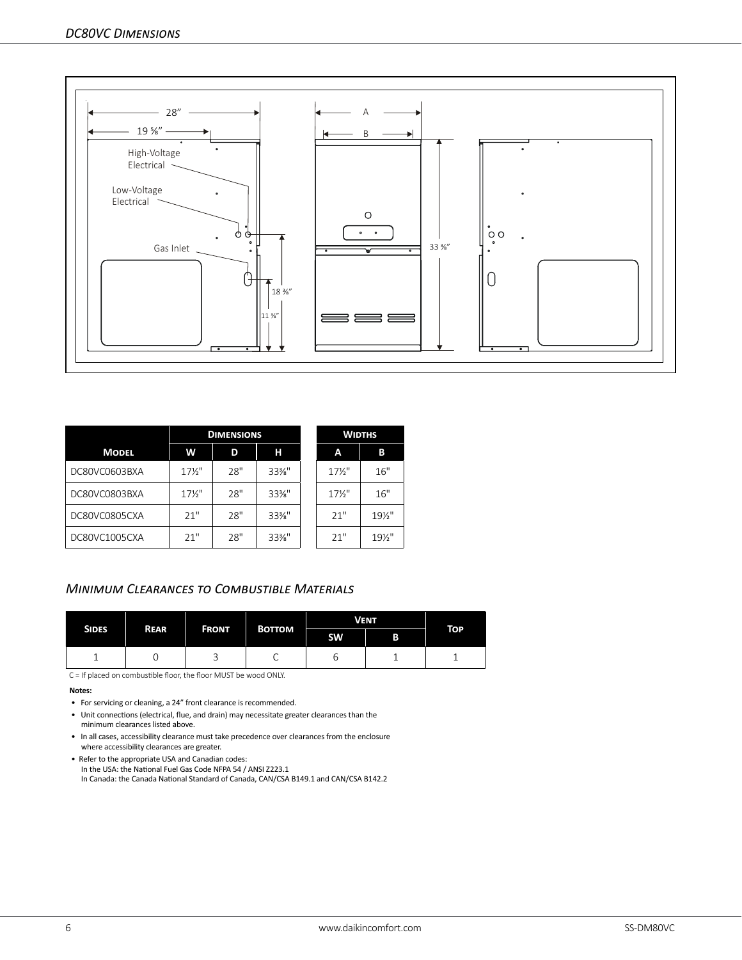

|               |                 | <b>DIMENSIONS</b> |      |                 | <b>WIDTHS</b> |
|---------------|-----------------|-------------------|------|-----------------|---------------|
| <b>MODEL</b>  | W               | D                 | н    | A               | В             |
| DC80VC0603BXA | $17\frac{1}{2}$ | 28"               | 33%" | $17\frac{1}{2}$ | 16"           |
| DC80VC0803BXA | $17\frac{1}{2}$ | 28"               | 33%" | $17\frac{1}{2}$ | 16"           |
| DC80VC0805CXA | 21"             | 28"               | 33%" | 21"             | 19½"          |
| DC80VC1005CXA | 21"             | 28"               | 33%" | 21"             | 191/2"        |

# *Minimum Clearances to Combustible Materials*

|              | <b>REAR</b> | <b>FRONT</b> | <b>BOTTOM</b> | <b>VENT</b> | <b>TOP</b> |  |
|--------------|-------------|--------------|---------------|-------------|------------|--|
| <b>SIDES</b> |             |              |               | <b>SW</b>   | B          |  |
|              | ັ           | ◡            | ◡             | ь           |            |  |

C = If placed on combustible floor, the floor MUST be wood ONLY.

#### **Notes:**

- For servicing or cleaning, a 24" front clearance is recommended.
- Unit connections (electrical, flue, and drain) may necessitate greater clearances than the minimum clearances listed above.
- In all cases, accessibility clearance must take precedence over clearances from the enclosure where accessibility clearances are greater.
- Refer to the appropriate USA and Canadian codes: In the USA: the National Fuel Gas Code NFPA 54 / ANSI Z223.1 In Canada: the Canada National Standard of Canada, CAN/CSA B149.1 and CAN/CSA B142.2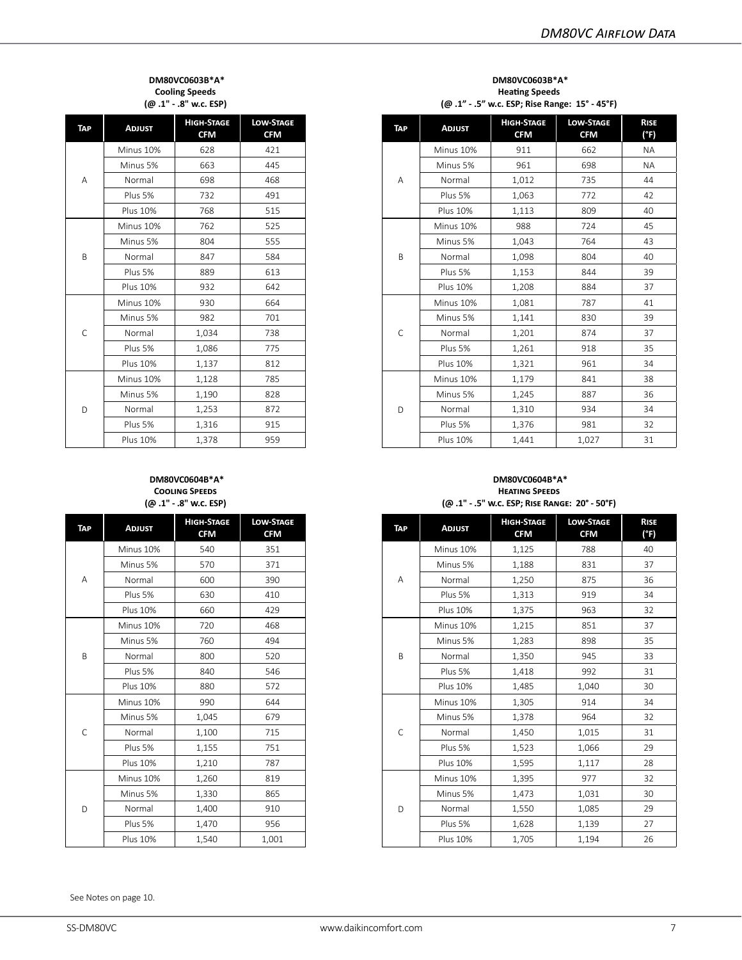#### **DM80VC0603B\*A\* Cooling Speeds (@ .1" - .8" w.c. ESP)**

| TAP                         | <b>ADJUST</b>   | <b>HIGH-STAGE</b><br><b>CFM</b> | <b>LOW-STAGE</b><br><b>CFM</b> |
|-----------------------------|-----------------|---------------------------------|--------------------------------|
|                             | Minus 10%       | 628                             | 421                            |
|                             | Minus 5%        | 663                             | 445                            |
| Α                           | Normal          | 698                             | 468                            |
|                             | Plus 5%         | 732                             | 491                            |
|                             | <b>Plus 10%</b> | 768                             | 515                            |
|                             | Minus 10%       | 762                             | 525                            |
|                             | Minus 5%        | 804                             | 555                            |
| B                           | Normal          | 847                             | 584                            |
|                             | Plus 5%         | 889                             | 613                            |
|                             | <b>Plus 10%</b> | 932                             | 642                            |
|                             | Minus 10%       | 930                             | 664                            |
|                             | Minus 5%        | 982                             | 701                            |
| Ċ<br>Normal<br>738<br>1,034 |                 |                                 |                                |
|                             | Plus 5%         | 1,086                           | 775                            |
|                             | <b>Plus 10%</b> | 1,137                           | 812                            |
|                             | Minus 10%       | 1,128                           | 785                            |
|                             | Minus 5%        | 1,190                           | 828                            |
| D                           | Normal          | 1,253                           | 872                            |
|                             | Plus 5%         | 1,316                           | 915                            |
|                             | <b>Plus 10%</b> | 1,378                           | 959                            |

#### **DM80VC0603B\*A\* Heating Speeds (@ .1" - .5" w.c. ESP; Rise Range: 15° - 45°F)**

| <b>ADJUST</b>   | <b>HIGH-STAGE</b><br><b>CFM</b> | <b>LOW-STAGE</b><br><b>CFM</b> | <b>TAP</b>   | <b>ADJUST</b>   | <b>HIGH-STAGE</b><br><b>CFM</b> | <b>LOW-STAGE</b><br><b>CFM</b> |  |
|-----------------|---------------------------------|--------------------------------|--------------|-----------------|---------------------------------|--------------------------------|--|
| Minus 10%       | 628                             | 421                            |              | Minus 10%       | 911                             | 662                            |  |
| Minus 5%        | 663                             | 445                            |              | Minus 5%        | 961                             | 698                            |  |
| Normal          | 698                             | 468                            | Α            | Normal          | 1,012                           | 735                            |  |
| Plus 5%         | 732                             | 491                            |              | Plus 5%         | 1,063                           | 772                            |  |
| <b>Plus 10%</b> | 768                             | 515                            |              | <b>Plus 10%</b> | 1,113                           | 809                            |  |
| Minus 10%       | 762                             | 525                            |              | Minus 10%       | 988                             | 724                            |  |
| Minus 5%        | 804                             | 555                            |              | Minus 5%        | 1,043                           | 764                            |  |
| Normal          | 847                             | 584                            | B            | Normal          | 1,098                           | 804                            |  |
| Plus 5%         | 889                             | 613                            |              | Plus 5%         | 1,153                           | 844                            |  |
| <b>Plus 10%</b> | 932                             | 642                            |              | <b>Plus 10%</b> | 1,208                           | 884                            |  |
| Minus 10%       | 930                             | 664                            |              | Minus 10%       | 1,081                           | 787                            |  |
| Minus 5%        | 982                             | 701                            |              | Minus 5%        | 1,141                           | 830                            |  |
| Normal          | 1,034                           | 738                            | $\mathsf{C}$ | Normal          | 1,201                           | 874                            |  |
| Plus 5%         | 1,086                           | 775                            |              | Plus 5%         | 1,261                           | 918                            |  |
| <b>Plus 10%</b> | 1,137                           | 812                            |              | <b>Plus 10%</b> | 1,321                           | 961                            |  |
| Minus 10%       | 1,128                           | 785                            |              | Minus 10%       | 1,179                           | 841                            |  |
| Minus 5%        | 1,190                           | 828                            |              | Minus 5%        | 1,245                           | 887                            |  |
| Normal          | 1,253                           | 872                            | D            | Normal          | 1,310                           | 934                            |  |
| Plus 5%         | 1,316                           | 915                            |              | Plus 5%         | 1,376                           | 981                            |  |
| <b>Plus 10%</b> | 1,378                           | 959                            |              | <b>Plus 10%</b> | 1,441                           | 1,027                          |  |

#### **DM80VC0604B\*A\* Cooling Speeds (@ .1" - .8" w.c. ESP)**

| <b>TAP</b> | <b>ADJUST</b>   | <b>HIGH-STAGE</b><br><b>CFM</b> | <b>LOW-STAGE</b><br><b>CFM</b> |
|------------|-----------------|---------------------------------|--------------------------------|
|            | Minus 10%       | 540                             | 351                            |
|            | Minus 5%        | 570                             | 371                            |
| A          | Normal          | 600                             | 390                            |
|            | Plus 5%         | 630                             | 410                            |
|            | <b>Plus 10%</b> | 660                             | 429                            |
|            | Minus 10%       | 720                             | 468                            |
|            | Minus 5%        | 760                             | 494                            |
| B          | Normal          | 800                             | 520                            |
|            | Plus 5%         | 840                             | 546                            |
|            | <b>Plus 10%</b> | 880                             | 572                            |
|            | Minus 10%       | 990                             | 644                            |
|            | Minus 5%        | 1,045                           | 679                            |
| C          | Normal          | 1,100                           | 715                            |
|            | Plus 5%         | 1,155                           | 751                            |
|            | <b>Plus 10%</b> | 1,210                           | 787                            |
|            | Minus 10%       | 1,260                           | 819                            |
|            | Minus 5%        | 1,330                           | 865                            |
| D          | Normal          | 1,400                           | 910                            |
|            | Plus 5%         | 1,470                           | 956                            |
|            | <b>Plus 10%</b> | 1,540                           | 1,001                          |

#### **DM80VC0604B\*A\* Heating Speeds (@ .1" - .5" w.c. ESP; Rise Range: 20° - 50°F)**

| <b>ADJUST</b>   | <b>HIGH-STAGE</b><br><b>CFM</b> | <b>LOW-STAGE</b><br><b>CFM</b> | <b>TAP</b>  | <b>ADJUST</b>   | <b>HIGH-STAGE</b><br><b>CFM</b> | <b>LOW-STAGE</b><br><b>CFM</b> |  |
|-----------------|---------------------------------|--------------------------------|-------------|-----------------|---------------------------------|--------------------------------|--|
| Minus 10%       | 540                             | 351                            |             | Minus 10%       | 1,125                           | 788                            |  |
| Minus 5%        | 570                             | 371                            |             | Minus 5%        | 1,188                           | 831                            |  |
| Normal          | 600                             | 390                            | Α           | Normal          | 1,250                           | 875                            |  |
| Plus 5%         | 630                             | 410                            |             | Plus 5%         | 1,313                           | 919                            |  |
| <b>Plus 10%</b> | 660                             | 429                            |             | <b>Plus 10%</b> | 1,375                           | 963                            |  |
| Minus 10%       | 720                             | 468                            |             | Minus 10%       | 1,215                           | 851                            |  |
| Minus 5%        | 760                             | 494                            |             | Minus 5%        | 1,283                           | 898                            |  |
| Normal          | 800                             | 520                            | B           | Normal          | 1,350                           | 945                            |  |
| Plus 5%         | 840                             | 546                            |             | Plus 5%         | 1,418                           | 992                            |  |
| <b>Plus 10%</b> | 880                             | 572                            |             | <b>Plus 10%</b> | 1,485                           | 1,040                          |  |
| Minus 10%       | 990                             | 644                            |             | Minus 10%       | 1,305                           | 914                            |  |
| Minus 5%        | 1,045                           | 679                            |             | Minus 5%        | 1,378                           | 964                            |  |
| Normal          | 1,100                           | 715                            | $\mathsf C$ | Normal          | 1,450                           | 1,015                          |  |
| Plus 5%         | 1,155                           | 751                            |             | Plus 5%         | 1,523                           | 1,066                          |  |
| <b>Plus 10%</b> | 1,210                           | 787                            |             | <b>Plus 10%</b> | 1,595                           | 1,117                          |  |
| Minus 10%       | 1,260                           | 819                            |             | Minus 10%       | 1,395                           | 977                            |  |
| Minus 5%        | 1,330                           | 865                            |             | Minus 5%        | 1,473                           | 1,031                          |  |
| Normal          | 1,400                           | 910                            | D           | Normal          | 1,550                           | 1,085                          |  |
| Plus 5%         | 1,470                           | 956                            |             | Plus 5%         | 1,628                           | 1,139                          |  |
| <b>Plus 10%</b> | 1,540                           | 1,001                          |             | <b>Plus 10%</b> | 1,705                           | 1,194                          |  |

See Notes on page 10.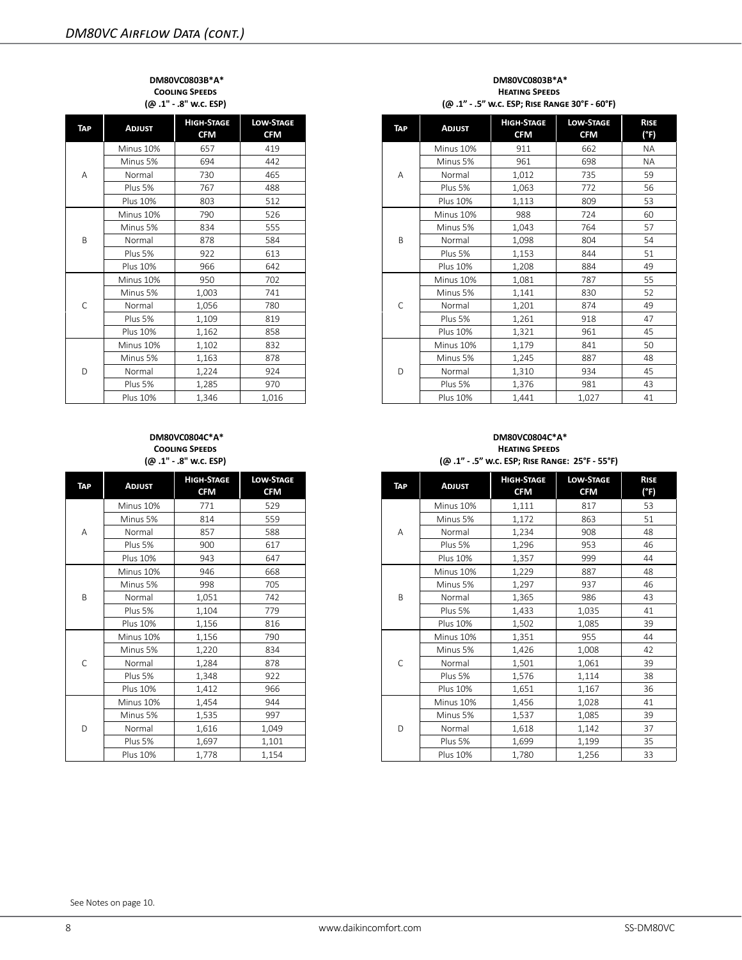#### **DM80VC0803B\*A\* Cooling Speeds (@ .1" - .8" w.c. ESP)**

| <b>TAP</b> | <b>ADJUST</b>   | <b>HIGH-STAGE</b><br><b>CFM</b> | <b>LOW-STAGE</b><br><b>CFM</b> |
|------------|-----------------|---------------------------------|--------------------------------|
|            | Minus 10%       | 657                             | 419                            |
|            | Minus 5%        | 694                             | 442                            |
| А          | Normal          | 730                             | 465                            |
|            | Plus 5%         | 767                             | 488                            |
|            | <b>Plus 10%</b> | 803                             | 512                            |
|            | Minus 10%       | 790                             | 526                            |
|            | Minus 5%        | 834                             | 555                            |
| B          | Normal          | 878                             | 584                            |
|            | Plus 5%         | 922                             | 613                            |
|            | Plus 10%        | 966                             | 642                            |
|            | Minus 10%       | 950                             | 702                            |
|            | Minus 5%        | 1,003                           | 741                            |
| C          | Normal          | 1,056                           | 780                            |
|            | Plus 5%         | 1,109                           | 819                            |
|            | <b>Plus 10%</b> | 1,162                           | 858                            |
|            | Minus 10%       | 1,102                           | 832                            |
|            | Minus 5%        | 1,163                           | 878                            |
| D          | Normal          | 1,224                           | 924                            |
|            | Plus 5%         | 1,285                           | 970                            |
|            | <b>Plus 10%</b> | 1.346                           | 1.016                          |

#### **DM80VC0804C\*A\* Cooling Speeds (@ .1" - .8" w.c. ESP)**

| TAP | <b>ADJUST</b>   | <b>HIGH-STAGE</b><br><b>CFM</b> | <b>LOW-STAGE</b><br><b>CFM</b> |
|-----|-----------------|---------------------------------|--------------------------------|
|     | Minus 10%       | 771                             | 529                            |
|     | Minus 5%        | 814                             | 559                            |
| Α   | Normal          | 857                             | 588                            |
|     | Plus 5%         | 900                             | 617                            |
|     | Plus 10%        | 943                             | 647                            |
|     | Minus 10%       | 946                             | 668                            |
|     | Minus 5%        | 998                             | 705                            |
| B   | Normal          | 1,051                           | 742                            |
|     | Plus 5%         | 1,104                           | 779                            |
|     | Plus 10%        | 1,156                           | 816                            |
|     | Minus 10%       | 1,156                           | 790                            |
|     | Minus 5%        | 1,220                           | 834                            |
| C   | Normal          | 1,284                           | 878                            |
|     | Plus 5%         | 1,348                           | 922                            |
|     | Plus 10%        | 1,412                           | 966                            |
|     | Minus 10%       | 1,454                           | 944                            |
|     | Minus 5%        | 1,535                           | 997                            |
| D   | Normal          | 1,616                           | 1,049                          |
|     | Plus 5%         | 1,697                           | 1,101                          |
|     | <b>Plus 10%</b> | 1,778                           | 1,154                          |

#### **DM80VC0803B\*A\* Heating Speeds (@ .1" - .5" w.c. ESP; Rise Range 30°F - 60°F)**

|     | <b>HIGH-STAGE</b><br><b>CFM</b> | <b>LOW-STAGE</b><br><b>CFM</b> | TAP          | <b>ADJUST</b>   | <b>HIGH-STAGE</b><br><b>CFM</b> | <b>LOW-STAGE</b><br><b>CFM</b> | <b>RISE</b><br>(°F) |
|-----|---------------------------------|--------------------------------|--------------|-----------------|---------------------------------|--------------------------------|---------------------|
| 657 |                                 | 419                            |              | Minus 10%       | 911                             | 662                            | <b>NA</b>           |
| 694 |                                 | 442                            |              | Minus 5%        | 961                             | 698                            | <b>NA</b>           |
| 730 |                                 | 465                            | Α            | Normal          | 1,012                           | 735                            | 59                  |
|     | 767                             | 488                            |              | Plus 5%         | 1,063                           | 772                            | 56                  |
|     | 803                             | 512                            |              | Plus 10%        | 1,113                           | 809                            | 53                  |
|     | 790                             | 526                            |              | Minus 10%       | 988                             | 724                            | 60                  |
|     | 834                             | 555                            |              | Minus 5%        | 1,043                           | 764                            | 57                  |
|     | 878                             | 584                            | B            | Normal          | 1,098                           | 804                            | 54                  |
|     | 922                             | 613                            |              | Plus 5%         | 1,153                           | 844                            | 51                  |
|     | 966                             | 642                            |              | Plus 10%        | 1,208                           | 884                            | 49                  |
|     | 950                             | 702                            |              | Minus 10%       | 1,081                           | 787                            | 55                  |
|     | 1,003                           | 741                            |              | Minus 5%        | 1.141                           | 830                            | 52                  |
|     | 1,056                           | 780                            | $\mathsf{C}$ | Normal          | 1,201                           | 874                            | 49                  |
|     | 1,109                           | 819                            |              | Plus 5%         | 1,261                           | 918                            | 47                  |
|     | 1,162                           | 858                            |              | <b>Plus 10%</b> | 1,321                           | 961                            | 45                  |
|     | 1,102                           | 832                            |              | Minus 10%       | 1,179                           | 841                            | 50                  |
|     | 1,163                           | 878                            |              | Minus 5%        | 1,245                           | 887                            | 48                  |
|     | 1,224                           | 924                            | D            | Normal          | 1,310                           | 934                            | 45                  |
|     | 1,285                           | 970                            |              | Plus 5%         | 1,376                           | 981                            | 43                  |
|     | 1,346                           | 1,016                          |              | <b>Plus 10%</b> | 1,441                           | 1,027                          | 41                  |

#### **DM80VC0804C\*A\* Heating Speeds (@ .1" - .5" w.c. ESP; Rise Range: 25°F - 55°F)**

| <b>ADJUST</b>   | <b>HIGH-STAGE</b><br><b>CFM</b> | <b>LOW-STAGE</b><br><b>CFM</b> | <b>TAP</b>   | <b>ADJUST</b>   | <b>HIGH-STAGE</b><br><b>CFM</b> | <b>LOW-STAGE</b><br><b>CFM</b> | <b>RISE</b><br>(°F) |
|-----------------|---------------------------------|--------------------------------|--------------|-----------------|---------------------------------|--------------------------------|---------------------|
| Minus 10%       | 771                             | 529                            |              | Minus 10%       | 1,111                           | 817                            | 53                  |
| Minus 5%        | 814                             | 559                            |              | Minus 5%        | 1,172                           | 863                            | 51                  |
| Normal          | 857                             | 588                            | A            | Normal          | 1,234                           | 908                            | 48                  |
| Plus 5%         | 900                             | 617                            |              | Plus 5%         | 1,296                           | 953                            | 46                  |
| <b>Plus 10%</b> | 943                             | 647                            |              | <b>Plus 10%</b> | 1,357                           | 999                            | 44                  |
| Minus 10%       | 946                             | 668                            |              | Minus 10%       | 1,229                           | 887                            | 48                  |
| Minus 5%        | 998                             | 705                            |              | Minus 5%        | 1,297                           | 937                            | 46                  |
| Normal          | 1,051                           | 742                            | B            | Normal          | 1,365                           | 986                            | 43                  |
| Plus 5%         | 1,104                           | 779                            |              | Plus 5%         | 1,433                           | 1,035                          | 41                  |
| <b>Plus 10%</b> | 1,156                           | 816                            |              | <b>Plus 10%</b> | 1,502                           | 1,085                          | 39                  |
| Minus 10%       | 1,156                           | 790                            |              | Minus 10%       | 1,351                           | 955                            | 44                  |
| Minus 5%        | 1,220                           | 834                            |              | Minus 5%        | 1,426                           | 1,008                          | 42                  |
| Normal          | 1,284                           | 878                            | $\mathsf{C}$ | Normal          | 1,501                           | 1,061                          | 39                  |
| Plus 5%         | 1,348                           | 922                            |              | Plus 5%         | 1,576                           | 1,114                          | 38                  |
| <b>Plus 10%</b> | 1,412                           | 966                            |              | <b>Plus 10%</b> | 1,651                           | 1,167                          | 36                  |
| Minus 10%       | 1,454                           | 944                            |              | Minus 10%       | 1,456                           | 1,028                          | 41                  |
| Minus 5%        | 1,535                           | 997                            |              | Minus 5%        | 1,537                           | 1,085                          | 39                  |
| Normal          | 1,616                           | 1,049                          | D            | Normal          | 1,618                           | 1,142                          | 37                  |
| Plus 5%         | 1.697                           | 1,101                          |              | Plus 5%         | 1,699                           | 1,199                          | 35                  |
| <b>Plus 10%</b> | 1,778                           | 1,154                          |              | <b>Plus 10%</b> | 1,780                           | 1,256                          | 33                  |

See Notes on page 10.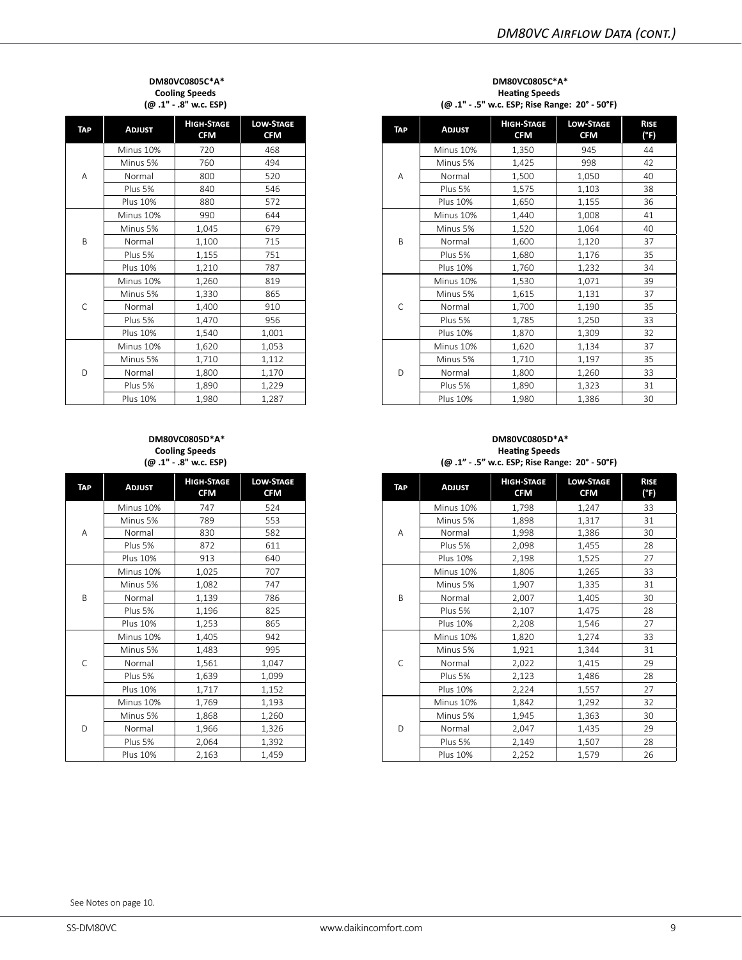#### **DM80VC0805C\*A\* Cooling Speeds (@ .1" - .8" w.c. ESP)**

| <b>TAP</b> | <b>ADJUST</b>   | <b>HIGH-STAGE</b><br><b>CFM</b> | <b>LOW-STAGE</b><br><b>CFM</b> |
|------------|-----------------|---------------------------------|--------------------------------|
|            | Minus 10%       | 720                             | 468                            |
|            | Minus 5%        | 760                             | 494                            |
| A          | Normal          | 800                             | 520                            |
|            | Plus 5%         | 840                             | 546                            |
|            | <b>Plus 10%</b> | 880                             | 572                            |
|            | Minus 10%       | 990                             | 644                            |
|            | Minus 5%        | 1,045                           | 679                            |
| B          | Normal          | 1,100                           | 715                            |
|            | Plus 5%         | 1,155                           | 751                            |
|            | <b>Plus 10%</b> | 1,210                           | 787                            |
|            | Minus 10%       | 1,260                           | 819                            |
|            | Minus 5%        | 1,330                           | 865                            |
| C          | Normal          | 1,400                           | 910                            |
|            | Plus 5%         | 1,470                           | 956                            |
|            | <b>Plus 10%</b> | 1,540                           | 1,001                          |
|            | Minus 10%       | 1,620                           | 1,053                          |
|            | Minus 5%        | 1,710                           | 1,112                          |
| D          | Normal          | 1,800                           | 1,170                          |
|            | Plus 5%         | 1,890                           | 1,229                          |
|            | <b>Plus 10%</b> | 1,980                           | 1,287                          |

#### **DM80VC0805D\*A\* Cooling Speeds (@ .1" - .8" w.c. ESP)**

| <b>TAP</b> | <b>ADJUST</b>   | <b>HIGH-STAGE</b><br><b>CFM</b> | <b>LOW-STAGE</b><br><b>CFM</b> |
|------------|-----------------|---------------------------------|--------------------------------|
|            | Minus 10%       | 747                             | 524                            |
|            | Minus 5%        | 789                             | 553                            |
| A          | Normal          | 830                             | 582                            |
|            | Plus 5%         | 872                             | 611                            |
|            | <b>Plus 10%</b> | 913                             | 640                            |
|            | Minus 10%       | 1,025                           | 707                            |
|            | Minus 5%        | 1,082                           | 747                            |
| B          | Normal          | 1,139                           | 786                            |
|            | Plus 5%         | 1,196                           | 825                            |
|            | Plus 10%        | 1,253                           | 865                            |
|            | Minus 10%       | 1,405                           | 942                            |
|            | Minus 5%        | 1,483                           | 995                            |
| C          | Normal          | 1,561                           | 1,047                          |
|            | Plus 5%         | 1,639                           | 1,099                          |
|            | Plus 10%        | 1,717                           | 1,152                          |
|            | Minus 10%       | 1,769                           | 1,193                          |
|            | Minus 5%        | 1,868                           | 1,260                          |
| D          | Normal          | 1,966                           | 1,326                          |
|            | Plus 5%         | 2,064                           | 1,392                          |
|            | <b>Plus 10%</b> | 2,163                           | 1,459                          |

#### **DM80VC0805C\*A\* Heating Speeds (@ .1" - .5" w.c. ESP; Rise Range: 20° - 50°F)**

| <b>ADJUST</b>   | <b>HIGH-STAGE</b><br><b>CFM</b> | <b>LOW-STAGE</b><br><b>CFM</b> | <b>TAP</b>   | <b>ADJUST</b>   | <b>HIGH-STAGE</b><br><b>CFM</b> | <b>LOW-STAGE</b><br><b>CFM</b> |  |
|-----------------|---------------------------------|--------------------------------|--------------|-----------------|---------------------------------|--------------------------------|--|
| Minus 10%       | 720                             | 468                            |              | Minus 10%       | 1,350                           | 945                            |  |
| Minus 5%        | 760                             | 494                            |              | Minus 5%        | 1,425                           | 998                            |  |
| Normal          | 800                             | 520                            | A            | Normal          | 1.500                           | 1.050                          |  |
| Plus 5%         | 840                             | 546                            |              | Plus 5%         | 1,575                           | 1,103                          |  |
| <b>Plus 10%</b> | 880                             | 572                            |              | <b>Plus 10%</b> | 1,650                           | 1,155                          |  |
| Minus 10%       | 990                             | 644                            |              | Minus 10%       | 1,440                           | 1,008                          |  |
| Minus 5%        | 1,045                           | 679                            |              | Minus 5%        | 1,520                           | 1,064                          |  |
| Normal          | 1,100                           | 715                            | B            | Normal          | 1,600                           | 1,120                          |  |
| Plus 5%         | 1,155                           | 751                            |              | Plus 5%         | 1,680                           | 1,176                          |  |
| <b>Plus 10%</b> | 1,210                           | 787                            |              | <b>Plus 10%</b> | 1,760                           | 1,232                          |  |
| Minus 10%       | 1,260                           | 819                            |              | Minus 10%       | 1,530                           | 1,071                          |  |
| Minus 5%        | 1,330                           | 865                            |              | Minus 5%        | 1,615                           | 1,131                          |  |
| Normal          | 1,400                           | 910                            | C            | Normal          | 1,700                           | 1,190                          |  |
| Plus 5%         | 1,470                           | 956                            |              | Plus 5%         | 1,785                           | 1,250                          |  |
| <b>Plus 10%</b> | 1,540                           | 1,001                          |              | <b>Plus 10%</b> | 1,870                           | 1,309                          |  |
| Minus 10%       | 1,620                           | 1,053                          |              | Minus 10%       | 1,620                           | 1,134                          |  |
| Minus 5%        | 1,710                           | 1,112                          |              | Minus 5%        | 1,710                           | 1,197                          |  |
| Normal          | 1.800                           | 1.170                          | $\mathsf{D}$ | Normal          | 1.800                           | 1,260                          |  |
| Plus 5%         | 1,890                           | 1,229                          |              | Plus 5%         | 1,890                           | 1,323                          |  |
| <b>Plus 10%</b> | 1,980                           | 1,287                          |              | <b>Plus 10%</b> | 1,980                           | 1,386                          |  |

#### **DM80VC0805D\*A\* Heating Speeds (@ .1" - .5" w.c. ESP; Rise Range: 20° - 50°F)**

| <b>ADJUST</b>   | <b>HIGH-STAGE</b><br><b>CFM</b> | <b>LOW-STAGE</b><br><b>CFM</b> | <b>TAP</b>   | <b>ADJUST</b>   | <b>HIGH-STAGE</b><br><b>CFM</b> | <b>LOW-STAGE</b><br><b>CFM</b> |  |
|-----------------|---------------------------------|--------------------------------|--------------|-----------------|---------------------------------|--------------------------------|--|
| Minus 10%       | 747                             | 524                            |              | Minus 10%       | 1,798                           | 1,247                          |  |
| Minus 5%        | 789                             | 553                            |              | Minus 5%        | 1,898                           | 1,317                          |  |
| Normal          | 830                             | 582                            | Α            | Normal          | 1,998                           | 1,386                          |  |
| Plus 5%         | 872                             | 611                            |              | Plus 5%         | 2,098                           | 1,455                          |  |
| <b>Plus 10%</b> | 913                             | 640                            |              | <b>Plus 10%</b> | 2,198                           | 1,525                          |  |
| Minus 10%       | 1,025                           | 707                            |              | Minus 10%       | 1,806                           | 1,265                          |  |
| Minus 5%        | 1,082                           | 747                            |              | Minus 5%        | 1,907                           | 1,335                          |  |
| Normal          | 1,139                           | 786                            | B            | Normal          | 2,007                           | 1,405                          |  |
| Plus 5%         | 1,196                           | 825                            |              | Plus 5%         | 2,107                           | 1,475                          |  |
| <b>Plus 10%</b> | 1,253                           | 865                            |              | <b>Plus 10%</b> | 2,208                           | 1,546                          |  |
| Minus 10%       | 1,405                           | 942                            |              | Minus 10%       | 1,820                           | 1,274                          |  |
| Minus 5%        | 1,483                           | 995                            |              | Minus 5%        | 1,921                           | 1,344                          |  |
| Normal          | 1,561                           | 1,047                          | $\mathsf{C}$ | Normal          | 2,022                           | 1,415                          |  |
| Plus 5%         | 1,639                           | 1,099                          |              | Plus 5%         | 2,123                           | 1,486                          |  |
| <b>Plus 10%</b> | 1,717                           | 1,152                          |              | <b>Plus 10%</b> | 2,224                           | 1,557                          |  |
| Minus 10%       | 1,769                           | 1,193                          |              | Minus 10%       | 1,842                           | 1,292                          |  |
| Minus 5%        | 1,868                           | 1,260                          |              | Minus 5%        | 1,945                           | 1,363                          |  |
| Normal          | 1,966                           | 1,326                          | D            | Normal          | 2,047                           | 1,435                          |  |
| Plus 5%         | 2,064                           | 1,392                          |              | Plus 5%         | 2,149                           | 1,507                          |  |
| <b>Plus 10%</b> | 2,163                           | 1,459                          |              | <b>Plus 10%</b> | 2,252                           | 1,579                          |  |

See Notes on page 10.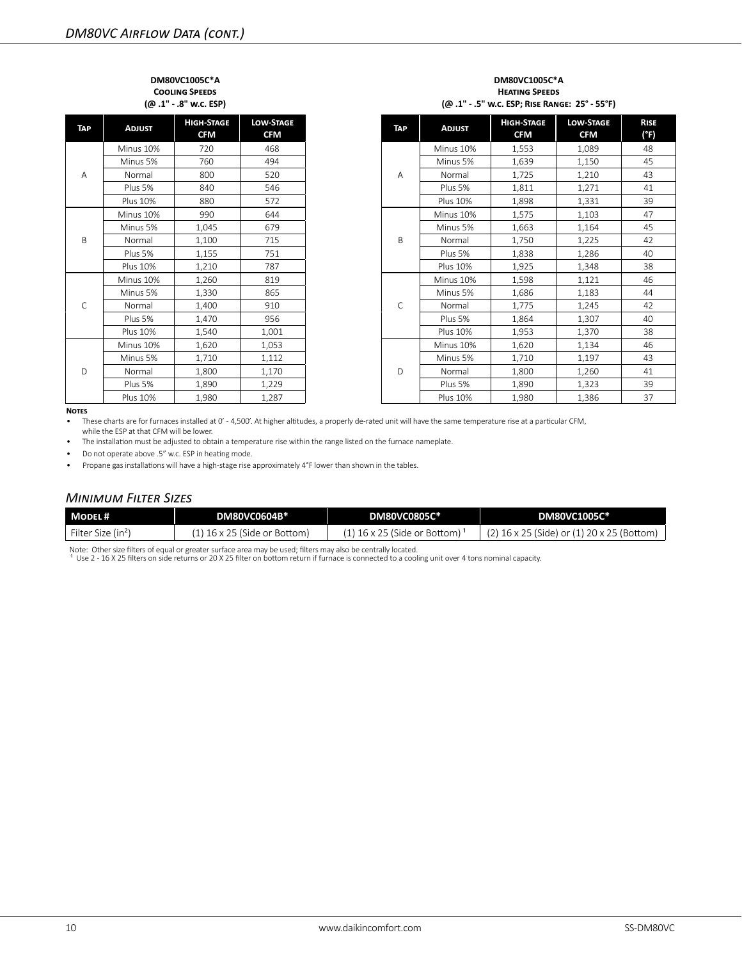#### **DM80VC1005C\*A Cooling Speeds (@ .1" - .8" w.c. ESP)**

| TAP | <b>ADJUST</b>   | <b>HIGH-STAGE</b><br><b>CFM</b> | <b>LOW-STAGE</b><br><b>CFM</b> |
|-----|-----------------|---------------------------------|--------------------------------|
|     | Minus 10%       | 720                             | 468                            |
|     | Minus 5%        | 760                             | 494                            |
| A   | Normal          | 800                             | 520                            |
|     | Plus 5%         | 840                             | 546                            |
|     | <b>Plus 10%</b> | 880                             | 572                            |
|     | Minus 10%       | 990                             | 644                            |
|     | Minus 5%        | 1,045                           | 679                            |
| B   | Normal          | 1,100                           | 715                            |
|     | Plus 5%         | 1,155                           | 751                            |
|     | <b>Plus 10%</b> | 1,210                           | 787                            |
|     | Minus 10%       | 1,260                           | 819                            |
|     | Minus 5%        | 1,330                           | 865                            |
| C   | Normal          | 1,400                           | 910                            |
|     | Plus 5%         | 1,470                           | 956                            |
|     | <b>Plus 10%</b> | 1,540                           | 1,001                          |
|     | Minus 10%       | 1,620                           | 1,053                          |
|     | Minus 5%        | 1,710                           | 1,112                          |
| D   | Normal          | 1,800                           | 1,170                          |
|     | Plus 5%         | 1,890                           | 1,229                          |
|     | Plus 10%        | 1,980                           | 1,287                          |

| <b>ADJUST</b>   | <b>HIGH-STAGE</b><br><b>CFM</b> | <b>LOW-STAGE</b><br><b>CFM</b> | <b>TAP</b> | <b>ADJUST</b>   | <b>HIGH-STAGE</b><br><b>CFM</b> | <b>LOW-STAGE</b><br><b>CFM</b> | <b>RISE</b><br>(°F) |
|-----------------|---------------------------------|--------------------------------|------------|-----------------|---------------------------------|--------------------------------|---------------------|
| Minus 10%       | 720                             | 468                            |            | Minus 10%       | 1,553                           | 1,089                          | 48                  |
| Minus 5%        | 760                             | 494                            |            | Minus 5%        | 1,639                           | 1,150                          | 45                  |
| Normal          | 800                             | 520                            | Α          | Normal          | 1,725                           | 1,210                          | 43                  |
| Plus 5%         | 840                             | 546                            |            | Plus 5%         | 1,811                           | 1,271                          | 41                  |
| <b>Plus 10%</b> | 880                             | 572                            |            | <b>Plus 10%</b> | 1,898                           | 1,331                          | 39                  |
| Minus 10%       | 990                             | 644                            |            | Minus 10%       | 1,575                           | 1,103                          | 47                  |
| Minus 5%        | 1,045                           | 679                            |            | Minus 5%        | 1,663                           | 1,164                          | 45                  |
| Normal          | 1,100                           | 715                            | B          | Normal          | 1,750                           | 1,225                          | 42                  |
| Plus 5%         | 1,155                           | 751                            |            | Plus 5%         | 1,838                           | 1,286                          | 40                  |
| <b>Plus 10%</b> | 1,210                           | 787                            |            | <b>Plus 10%</b> | 1,925                           | 1,348                          | 38                  |
| Minus 10%       | 1,260                           | 819                            |            | Minus 10%       | 1,598                           | 1,121                          | 46                  |
| Minus 5%        | 1,330                           | 865                            |            | Minus 5%        | 1,686                           | 1,183                          | 44                  |
| Normal          | 1,400                           | 910                            | C          | Normal          | 1.775                           | 1,245                          | 42                  |
| Plus 5%         | 1,470                           | 956                            |            | Plus 5%         | 1,864                           | 1,307                          | 40                  |
| <b>Plus 10%</b> | 1,540                           | 1,001                          |            | <b>Plus 10%</b> | 1,953                           | 1,370                          | 38                  |
| Minus 10%       | 1,620                           | 1,053                          |            | Minus 10%       | 1,620                           | 1,134                          | 46                  |
| Minus 5%        | 1,710                           | 1,112                          |            | Minus 5%        | 1,710                           | 1,197                          | 43                  |
| Normal          | 1,800                           | 1,170                          | D          | Normal          | 1,800                           | 1,260                          | 41                  |
| Plus 5%         | 1,890                           | 1,229                          |            | Plus 5%         | 1,890                           | 1,323                          | 39                  |
| <b>Plus 10%</b> | 1,980                           | 1,287                          |            | <b>Plus 10%</b> | 1,980                           | 1,386                          | 37                  |

#### **Notes**

• These charts are for furnaces installed at 0' - 4,500'. At higher altitudes, a properly de-rated unit will have the same temperature rise at a particular CFM, while the ESP at that CFM will be lower.

• The installation must be adjusted to obtain a temperature rise within the range listed on the furnace nameplate.

• Do not operate above .5" w.c. ESP in heating mode.

• Propane gas installations will have a high-stage rise approximately 4°F lower than shown in the tables.

### *Minimum Filter Sizes*

| MODEL#                         | <b>DM80VC0604B*</b>            | DM80VC0805C*                   | DM80VC1005C*                                 |
|--------------------------------|--------------------------------|--------------------------------|----------------------------------------------|
| Filter Size (in <sup>2</sup> ) | $(1)$ 16 x 25 (Side or Bottom) | $(1)$ 16 x 25 (Side or Bottom) | $(2)$ 16 x 25 (Side) or (1) 20 x 25 (Bottom) |

Note: Other size filters of equal or greater surface area may be used; filters may also be centrally located.<br>1 Use 2 - 16 X 25 filters on side returns or 20 X 25 filter on bottom return if furnace is connected to a coolin

# **Heating Speeds (@ .1" - .5" w.c. ESP; Rise Range: 25° - 55°F)**

**DM80VC1005C\*A**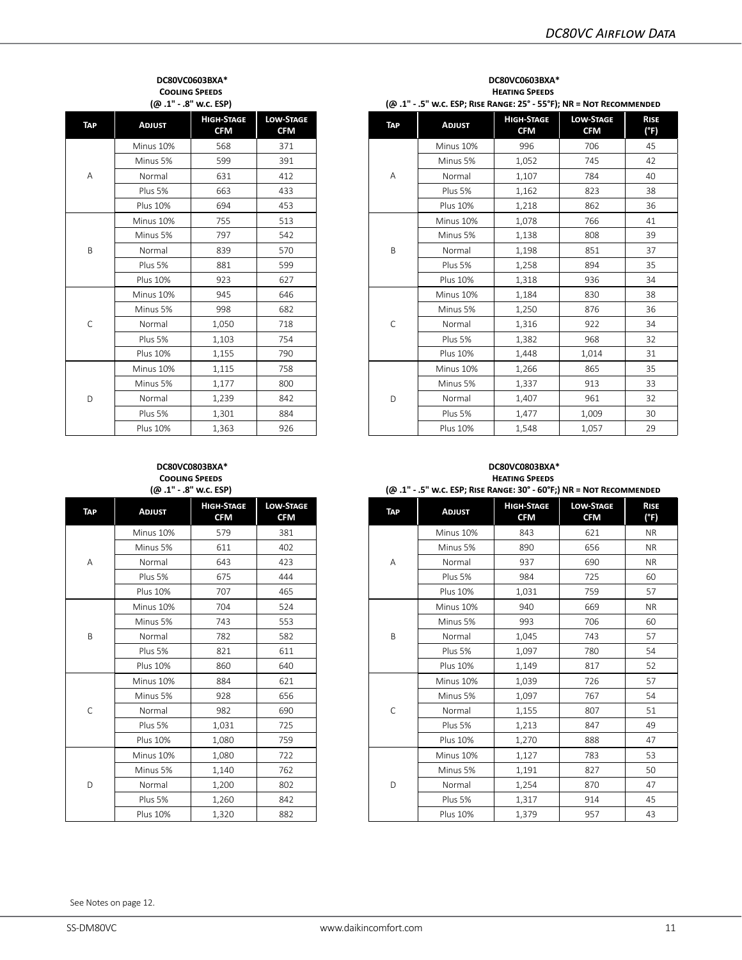#### **DC80VC0603BXA\* Cooling Speeds (@ .1" - .8" w.c. ESP)**

| <b>TAP</b> | <b>ADJUST</b>   | <b>HIGH-STAGE</b><br><b>CFM</b> | <b>LOW-STAGE</b><br><b>CFM</b> |
|------------|-----------------|---------------------------------|--------------------------------|
|            | Minus 10%       | 568                             | 371                            |
|            | Minus 5%        | 599                             | 391                            |
| A          | Normal          | 631                             | 412                            |
|            | Plus 5%         | 663                             | 433                            |
|            | <b>Plus 10%</b> | 694                             | 453                            |
|            | Minus 10%       | 755                             | 513                            |
|            | Minus 5%        | 797                             | 542                            |
| B          | Normal          | 839                             | 570                            |
|            | Plus 5%         | 881                             | 599                            |
|            | <b>Plus 10%</b> | 923                             | 627                            |
|            | Minus 10%       | 945                             | 646                            |
|            | Minus 5%        | 998                             | 682                            |
| Ċ          | Normal          | 1,050                           | 718                            |
|            | Plus 5%         | 1,103                           | 754                            |
|            | <b>Plus 10%</b> | 1,155                           | 790                            |
|            | Minus 10%       | 1,115                           | 758                            |
|            | Minus 5%        | 1,177                           | 800                            |
| D          | Normal          | 1,239                           | 842                            |
|            | Plus 5%         | 1,301                           | 884                            |
|            | <b>Plus 10%</b> | 1,363                           | 926                            |

| (@.1" - .8" w.c. ESP) |                                 |                                | (@ .1" - .5" w.c. ESP; RISE RANGE: 25° - 55°F); NR = NOT RECOMMENDED |             |                 |                                 |                                |                     |
|-----------------------|---------------------------------|--------------------------------|----------------------------------------------------------------------|-------------|-----------------|---------------------------------|--------------------------------|---------------------|
| <b>ADJUST</b>         | <b>HIGH-STAGE</b><br><b>CFM</b> | <b>LOW-STAGE</b><br><b>CFM</b> |                                                                      | <b>TAP</b>  | <b>ADJUST</b>   | <b>HIGH-STAGE</b><br><b>CFM</b> | <b>LOW-STAGE</b><br><b>CFM</b> | <b>RISE</b><br>(°F) |
| Minus 10%             | 568                             | 371                            |                                                                      |             | Minus 10%       | 996                             | 706                            | 45                  |
| Minus 5%              | 599                             | 391                            |                                                                      |             | Minus 5%        | 1,052                           | 745                            | 42                  |
| Normal                | 631                             | 412                            |                                                                      | А           | Normal          | 1,107                           | 784                            | 40                  |
| Plus 5%               | 663                             | 433                            |                                                                      |             | Plus 5%         | 1,162                           | 823                            | 38                  |
| <b>Plus 10%</b>       | 694                             | 453                            |                                                                      |             | <b>Plus 10%</b> | 1,218                           | 862                            | 36                  |
| Minus 10%             | 755                             | 513                            |                                                                      |             | Minus 10%       | 1,078                           | 766                            | 41                  |
| Minus 5%              | 797                             | 542                            |                                                                      |             | Minus 5%        | 1,138                           | 808                            | 39                  |
| Normal                | 839                             | 570                            | B                                                                    | Normal      | 1,198           | 851                             | 37                             |                     |
| Plus 5%               | 881                             | 599                            |                                                                      | Plus 5%     | 1,258           | 894                             | 35                             |                     |
| <b>Plus 10%</b>       | 923                             | 627                            |                                                                      |             | <b>Plus 10%</b> | 1,318                           | 936                            | 34                  |
| Minus 10%             | 945                             | 646                            |                                                                      |             | Minus 10%       | 1,184                           | 830                            | 38                  |
| Minus 5%              | 998                             | 682                            |                                                                      |             | Minus 5%        | 1,250                           | 876                            | 36                  |
| Normal                | 1,050                           | 718                            |                                                                      | $\mathsf C$ | Normal          | 1,316                           | 922                            | 34                  |
| Plus 5%               | 1,103                           | 754                            |                                                                      |             | Plus 5%         | 1,382                           | 968                            | 32                  |
| <b>Plus 10%</b>       | 1,155                           | 790                            |                                                                      |             | <b>Plus 10%</b> | 1,448                           | 1,014                          | 31                  |
| Minus 10%             | 1,115                           | 758                            |                                                                      |             | Minus 10%       | 1,266                           | 865                            | 35                  |
| Minus 5%              | 1,177                           | 800                            |                                                                      |             | Minus 5%        | 1,337                           | 913                            | 33                  |
| Normal                | 1,239                           | 842                            |                                                                      | D           | Normal          | 1,407                           | 961                            | 32                  |
| Plus 5%               | 1,301                           | 884                            |                                                                      |             | Plus 5%         | 1,477                           | 1,009                          | 30                  |
| <b>Plus 10%</b>       | 1.363                           | 926                            |                                                                      |             | <b>Plus 10%</b> | 1.548                           | 1,057                          | 29                  |

**DC80VC0603BXA\* Heating Speeds**

#### **DC80VC0803BXA\* Cooling Speeds (@ .1" - .8" w.c. ESP)**

| TAP | <b>ADJUST</b>   | <b>HIGH-STAGE</b><br><b>CFM</b> | <b>LOW-STAGE</b><br><b>CFM</b> |  |
|-----|-----------------|---------------------------------|--------------------------------|--|
|     | Minus 10%       | 579                             | 381                            |  |
|     | Minus 5%        | 611                             | 402                            |  |
| Α   | Normal          | 643                             | 423                            |  |
|     | Plus 5%         | 675                             | 444                            |  |
|     | <b>Plus 10%</b> | 707                             | 465                            |  |
|     | Minus 10%       | 704                             | 524                            |  |
|     | Minus 5%        | 743                             | 553                            |  |
| B   | Normal          | 782                             | 582                            |  |
|     | Plus 5%         | 821                             | 611                            |  |
|     | <b>Plus 10%</b> | 860                             | 640                            |  |
| C   | Minus 10%       | 884                             | 621                            |  |
|     | Minus 5%        | 928                             | 656                            |  |
|     | Normal          | 982                             | 690                            |  |
|     | Plus 5%         | 1,031                           | 725                            |  |
|     | <b>Plus 10%</b> | 1,080                           | 759                            |  |
|     | Minus 10%       | 1,080                           | 722                            |  |
| D   | Minus 5%        | 1,140                           | 762                            |  |
|     | Normal          | 1,200                           | 802                            |  |
|     | Plus 5%         | 1,260                           | 842                            |  |
|     | <b>Plus 10%</b> | 1,320                           | 882                            |  |

#### **DC80VC0803BXA\* Heating Speeds**

| ן שכז. א. ס. נו. שו |                                 |                                |  |             | W.C. ESP; KISE KANGE: 30 - 60 F; INK = NOT KECOMINIENDED (بالله ) |                                 |                                |                     |
|---------------------|---------------------------------|--------------------------------|--|-------------|-------------------------------------------------------------------|---------------------------------|--------------------------------|---------------------|
| <b>ADJUST</b>       | <b>HIGH-STAGE</b><br><b>CFM</b> | <b>LOW-STAGE</b><br><b>CFM</b> |  | <b>TAP</b>  | <b>ADJUST</b>                                                     | <b>HIGH-STAGE</b><br><b>CFM</b> | <b>LOW-STAGE</b><br><b>CFM</b> | <b>RISE</b><br>(°F) |
| Minus 10%           | 579                             | 381                            |  |             | Minus 10%                                                         | 843                             | 621                            | <b>NR</b>           |
| Minus 5%            | 611                             | 402                            |  |             | Minus 5%                                                          | 890                             | 656                            | <b>NR</b>           |
| Normal              | 643                             | 423                            |  | А           | Normal                                                            | 937                             | 690                            | <b>NR</b>           |
| Plus 5%             | 675                             | 444                            |  |             | Plus 5%                                                           | 984                             | 725                            | 60                  |
| <b>Plus 10%</b>     | 707                             | 465                            |  |             | <b>Plus 10%</b>                                                   | 1,031                           | 759                            | 57                  |
| Minus 10%           | 704                             | 524                            |  |             | Minus 10%                                                         | 940                             | 669                            | <b>NR</b>           |
| Minus 5%            | 743                             | 553                            |  |             | Minus 5%                                                          | 993                             | 706                            | 60                  |
| Normal              | 782                             | 582                            |  | B           | Normal                                                            | 1,045                           | 743                            | 57                  |
| Plus 5%             | 821                             | 611                            |  |             | Plus 5%                                                           | 1,097                           | 780                            | 54                  |
| <b>Plus 10%</b>     | 860                             | 640                            |  |             | <b>Plus 10%</b>                                                   | 1,149                           | 817                            | 52                  |
| Minus 10%           | 884                             | 621                            |  |             | Minus 10%                                                         | 1,039                           | 726                            | 57                  |
| Minus 5%            | 928                             | 656                            |  | $\mathsf C$ | Minus 5%                                                          | 1,097                           | 767                            | 54                  |
| Normal              | 982                             | 690                            |  |             | Normal                                                            | 1,155                           | 807                            | 51                  |
| Plus 5%             | 1,031                           | 725                            |  |             | Plus 5%                                                           | 1,213                           | 847                            | 49                  |
| <b>Plus 10%</b>     | 1,080                           | 759                            |  |             | <b>Plus 10%</b>                                                   | 1,270                           | 888                            | 47                  |
| Minus 10%           | 1,080                           | 722                            |  |             | Minus 10%                                                         | 1,127                           | 783                            | 53                  |
| Minus 5%            | 1,140                           | 762                            |  |             | Minus 5%                                                          | 1,191                           | 827                            | 50                  |
| Normal              | 1,200                           | 802                            |  | D           | Normal                                                            | 1,254                           | 870                            | 47                  |
| Plus 5%             | 1,260                           | 842                            |  |             | Plus 5%                                                           | 1,317                           | 914                            | 45                  |
| <b>Plus 10%</b>     | 1,320                           | 882                            |  |             | <b>Plus 10%</b>                                                   | 1,379                           | 957                            | 43                  |

# **(@ .1" - .5" w.c. ESP; Rise Range: 30° - 60°F;) NR = Not Recommended**

See Notes on page 12.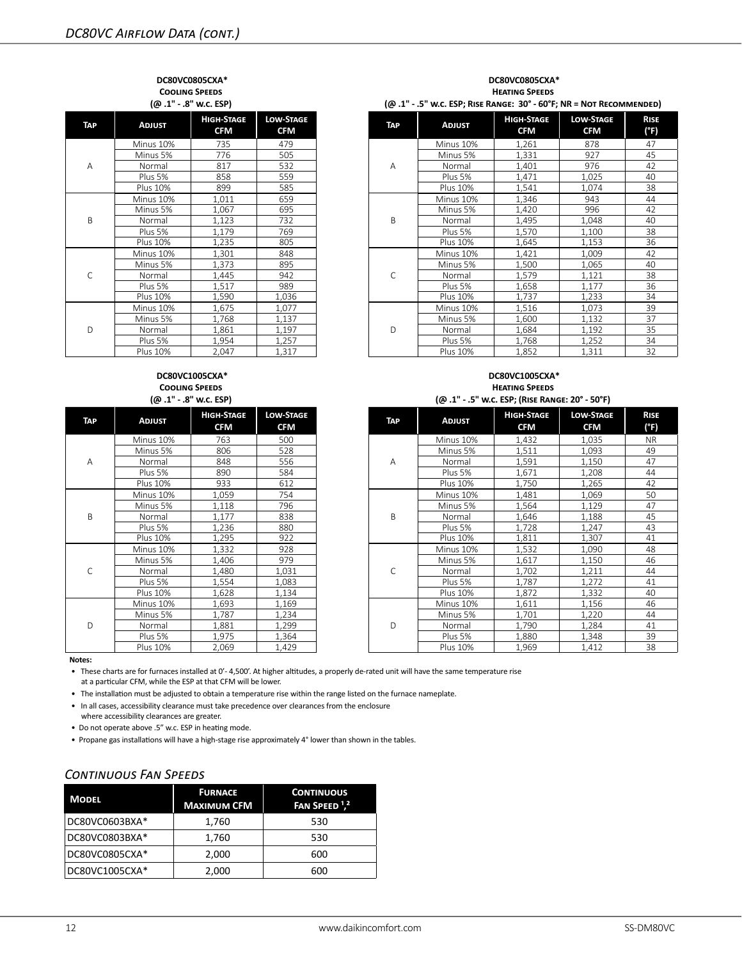#### **DC80VC0805CXA\* Cooling Speeds (@ .1" - .8" w.c. ESP)**

| TAP    | <b>ADJUST</b>   | <b>HIGH-STAGE</b><br><b>CFM</b> | <b>LOW-STAGE</b><br><b>CFM</b> |
|--------|-----------------|---------------------------------|--------------------------------|
|        | Minus 10%       | 735                             | 479                            |
|        | Minus 5%        | 776                             | 505                            |
| A      | Normal          | 817                             | 532                            |
|        | Plus 5%         | 858                             | 559                            |
|        | Plus 10%        | 899                             | 585                            |
|        | Minus 10%       | 1,011                           | 659                            |
|        | Minus 5%        | 1,067                           | 695                            |
| B<br>C | Normal          | 1,123                           | 732                            |
|        | Plus 5%         | 1,179                           | 769                            |
|        | Plus 10%        | 1,235                           | 805                            |
|        | Minus 10%       | 1,301                           | 848                            |
|        | Minus 5%        | 1,373                           | 895                            |
|        | Normal          | 1,445                           | 942                            |
|        | Plus 5%         | 1,517                           | 989                            |
|        | Plus 10%        | 1,590                           | 1,036                          |
|        | Minus 10%       | 1,675                           | 1,077                          |
| D      | Minus 5%        | 1,768                           | 1,137                          |
|        | Normal          | 1,861                           | 1,197                          |
|        | Plus 5%         | 1,954                           | 1,257                          |
|        | <b>Plus 10%</b> | 2,047                           | 1,317                          |

#### **DC80VC1005CXA\* Cooling Speeds (@ .1" - .8" w.c. ESP)**

| TAP | <b>ADJUST</b>   | <b>HIGH-STAGE</b><br><b>CFM</b> | <b>LOW-STAGE</b><br><b>CFM</b> |
|-----|-----------------|---------------------------------|--------------------------------|
|     | Minus 10%       | 763                             | 500                            |
|     | Minus 5%        | 806                             | 528                            |
| A   | Normal          | 848                             | 556                            |
|     | Plus 5%         | 890                             | 584                            |
|     | <b>Plus 10%</b> | 933                             | 612                            |
|     | Minus 10%       | 1,059                           | 754                            |
|     | Minus 5%        | 1,118                           | 796                            |
| B   | Normal          | 1,177                           | 838                            |
|     | Plus 5%         | 1,236                           | 880                            |
|     | Plus 10%        | 1,295                           | 922                            |
|     | Minus 10%       | 1,332                           | 928                            |
| C   | Minus 5%        | 1,406                           | 979                            |
|     | Normal          | 1,480                           | 1,031                          |
|     | Plus 5%         | 1,554                           | 1,083                          |
|     | <b>Plus 10%</b> | 1,628                           | 1,134                          |
|     | Minus 10%       | 1,693                           | 1,169                          |
| D   | Minus 5%        | 1,787                           | 1,234                          |
|     | Normal          | 1,881                           | 1,299                          |
|     | Plus 5%         | 1,975                           | 1,364                          |
|     | <b>Plus 10%</b> | 2,069                           | 1.429                          |

## **DC80VC0805CXA\* Heating Speeds**

**(@ .1" - .5" w.c. ESP; Rise Range: 30° - 60°F; NR = Not Recommended)**

| <b>ADJUST</b>   | <b>HIGH-STAGE</b><br><b>CFM</b> | <b>LOW-STAGE</b><br><b>CFM</b> |  | TAP | <b>ADJUST</b>   | <b>HIGH-STAGE</b><br><b>CFM</b> | <b>LOW-STAGE</b><br><b>CFM</b> | <b>RISE</b><br>(°F) |
|-----------------|---------------------------------|--------------------------------|--|-----|-----------------|---------------------------------|--------------------------------|---------------------|
| Minus 10%       | 735                             | 479                            |  |     | Minus 10%       | 1,261                           | 878                            | 47                  |
| Minus 5%        | 776                             | 505                            |  |     | Minus 5%        | 1,331                           | 927                            | 45                  |
| Normal          | 817                             | 532                            |  | A   | Normal          | 1.401                           | 976                            | 42                  |
| Plus 5%         | 858                             | 559                            |  |     | Plus 5%         | 1,471                           | 1,025                          | 40                  |
| <b>Plus 10%</b> | 899                             | 585                            |  |     | <b>Plus 10%</b> | 1,541                           | 1,074                          | 38                  |
| Minus 10%       | 1,011                           | 659                            |  |     | Minus 10%       | 1,346                           | 943                            | 44                  |
| Minus 5%        | 1,067                           | 695                            |  |     | Minus 5%        | 1,420                           | 996                            | 42                  |
| Normal          | 1,123                           | 732                            |  | B   | Normal          | 1,495                           | 1.048                          | 40                  |
| Plus 5%         | 1,179                           | 769                            |  |     | Plus 5%         | 1,570                           | 1,100                          | 38                  |
| <b>Plus 10%</b> | 1,235                           | 805                            |  |     | Plus 10%        | 1,645                           | 1,153                          | 36                  |
| Minus 10%       | 1,301                           | 848                            |  |     | Minus 10%       | 1,421                           | 1,009                          | 42                  |
| Minus 5%        | 1.373                           | 895                            |  |     | Minus 5%        | 1.500                           | 1,065                          | 40                  |
| Normal          | 1,445                           | 942                            |  | C   | Normal          | 1,579                           | 1,121                          | 38                  |
| Plus 5%         | 1.517                           | 989                            |  |     | Plus 5%         | 1,658                           | 1,177                          | 36                  |
| <b>Plus 10%</b> | 1,590                           | 1,036                          |  |     | <b>Plus 10%</b> | 1,737                           | 1,233                          | 34                  |
| Minus 10%       | 1,675                           | 1,077                          |  |     | Minus 10%       | 1,516                           | 1,073                          | 39                  |
| Minus 5%        | 1,768                           | 1,137                          |  |     | Minus 5%        | 1.600                           | 1,132                          | 37                  |
| Normal          | 1.861                           | 1,197                          |  | D   | Normal          | 1.684                           | 1,192                          | 35                  |
| Plus 5%         | 1,954                           | 1,257                          |  |     | Plus 5%         | 1,768                           | 1,252                          | 34                  |
| <b>Plus 10%</b> | 2,047                           | 1,317                          |  |     | <b>Plus 10%</b> | 1,852                           | 1,311                          | 32                  |

#### **DC80VC1005CXA\* Heating Speeds (@ .1" - .5" w.c. ESP; (Rise Range: 20° - 50°F)**

| <b>ADJUST</b>   | <b>HIGH-STAGE</b><br><b>CFM</b> | <b>LOW-STAGE</b><br><b>CFM</b> |  | TAP          | <b>ADJUST</b>   | <b>HIGH-STAGE</b><br><b>CFM</b> | <b>LOW-STAGE</b><br><b>CFM</b> | <b>RISE</b><br>(°F) |
|-----------------|---------------------------------|--------------------------------|--|--------------|-----------------|---------------------------------|--------------------------------|---------------------|
| Minus 10%       | 763                             | 500                            |  |              | Minus 10%       | 1,432                           | 1,035                          | <b>NR</b>           |
| Minus 5%        | 806                             | 528                            |  |              | Minus 5%        | 1,511                           | 1,093                          | 49                  |
| Normal          | 848                             | 556                            |  | A            | Normal          | 1,591                           | 1,150                          | 47                  |
| Plus 5%         | 890                             | 584                            |  |              | Plus 5%         | 1,671                           | 1,208                          | 44                  |
| <b>Plus 10%</b> | 933                             | 612                            |  |              | <b>Plus 10%</b> | 1.750                           | 1.265                          | 42                  |
| Minus 10%       | 1.059                           | 754                            |  |              | Minus 10%       | 1,481                           | 1,069                          | 50                  |
| Minus 5%        | 1,118                           | 796                            |  |              | Minus 5%        | 1,564                           | 1,129                          | 47                  |
| Normal          | 1,177                           | 838                            |  | B            | Normal          | 1,646                           | 1,188                          | 45                  |
| Plus 5%         | 1,236                           | 880                            |  | Plus 5%      | 1,728           | 1,247                           | 43                             |                     |
| <b>Plus 10%</b> | 1,295                           | 922                            |  |              | <b>Plus 10%</b> | 1,811                           | 1,307                          | 41                  |
| Minus 10%       | 1,332                           | 928                            |  |              | Minus 10%       | 1,532                           | 1,090                          | 48                  |
| Minus 5%        | 1,406                           | 979                            |  | $\mathsf{C}$ | Minus 5%        | 1,617                           | 1,150                          | 46                  |
| Normal          | 1,480                           | 1,031                          |  |              | Normal          | 1,702                           | 1,211                          | 44                  |
| Plus 5%         | 1,554                           | 1,083                          |  |              | Plus 5%         | 1,787                           | 1,272                          | 41                  |
| <b>Plus 10%</b> | 1,628                           | 1,134                          |  |              | <b>Plus 10%</b> | 1,872                           | 1,332                          | 40                  |
| Minus 10%       | 1,693                           | 1,169                          |  |              | Minus 10%       | 1,611                           | 1,156                          | 46                  |
| Minus 5%        | 1,787                           | 1,234                          |  | Minus 5%     | 1,701           | 1,220                           | 44                             |                     |
| Normal          | 1,881                           | 1,299                          |  | D            | Normal          | 1,790                           | 1,284                          | 41                  |
| Plus 5%         | 1,975                           | 1,364                          |  |              | Plus 5%         | 1,880                           | 1,348                          | 39                  |
| <b>Plus 10%</b> | 2,069                           | 1,429                          |  |              | <b>Plus 10%</b> | 1,969                           | 1,412                          | 38                  |

**Notes:**

• These charts are for furnaces installed at 0'- 4,500'. At higher altitudes, a properly de-rated unit will have the same temperature rise at a particular CFM, while the ESP at that CFM will be lower.

• The installation must be adjusted to obtain a temperature rise within the range listed on the furnace nameplate.

• In all cases, accessibility clearance must take precedence over clearances from the enclosure

where accessibility clearances are greater.

• Do not operate above .5" w.c. ESP in heating mode.

• Propane gas installations will have a high-stage rise approximately 4° lower than shown in the tables.

# *Continuous Fan Speeds*

| <b>MODEL</b>   | <b>FURNACE</b><br><b>MAXIMUM CFM</b> | <b>CONTINUOUS</b><br>FAN SPEED <sup>1,2</sup> |
|----------------|--------------------------------------|-----------------------------------------------|
| DC80VC0603BXA* | 1,760                                | 530                                           |
| DC80VC0803BXA* | 1,760                                | 530                                           |
| DC80VC0805CXA* | 2,000                                | 600                                           |
| DC80VC1005CXA* | 2,000                                | 600                                           |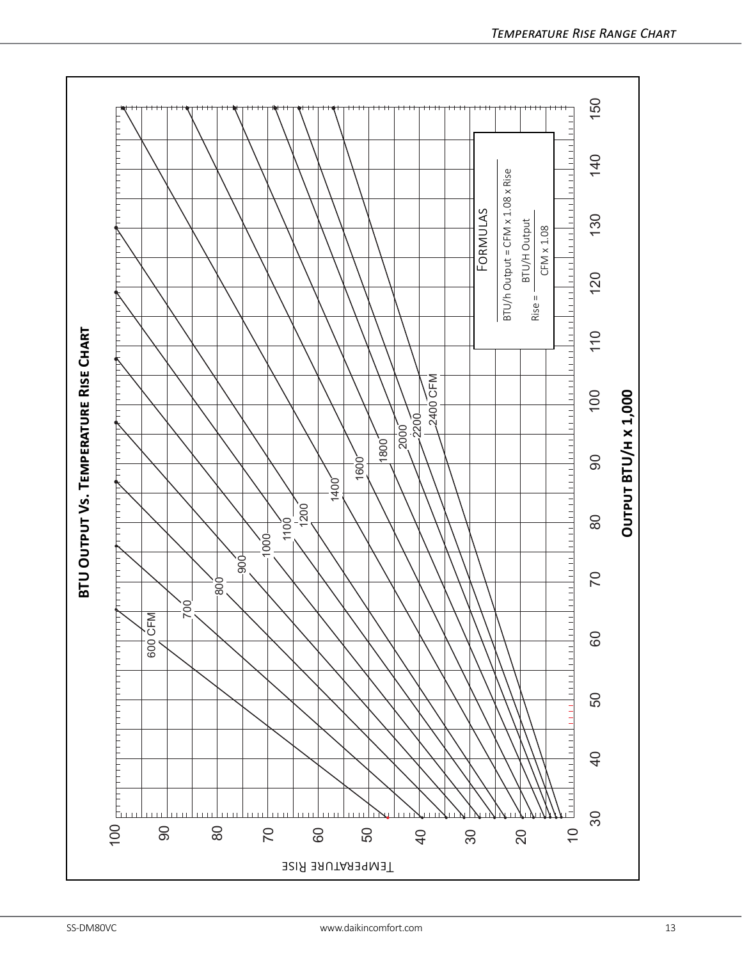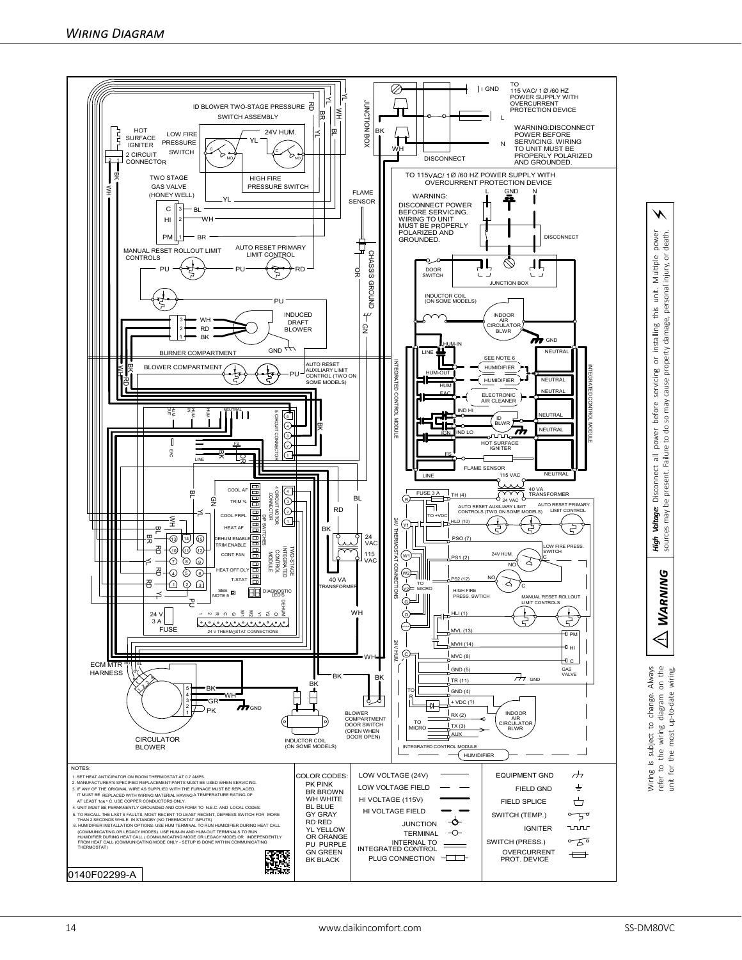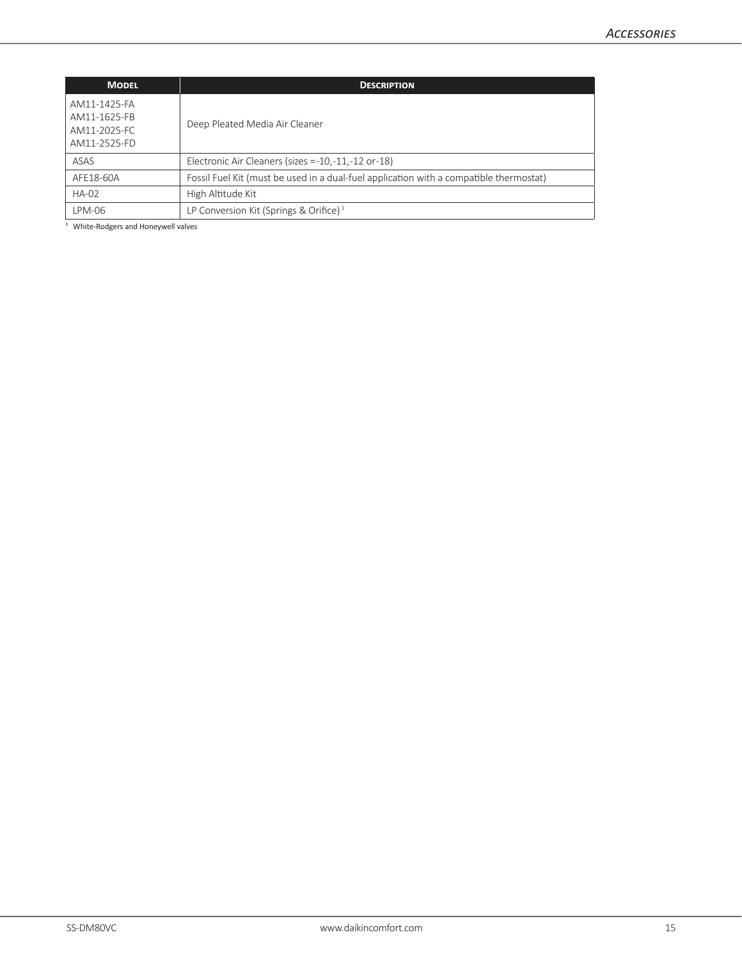| <b>MODEL</b>                                                 | <b>DESCRIPTION</b>                                                                     |
|--------------------------------------------------------------|----------------------------------------------------------------------------------------|
| AM11-1425-FA<br>AM11-1625-FB<br>AM11-2025-FC<br>AM11-2525-FD | Deep Pleated Media Air Cleaner                                                         |
| ASAS                                                         | Electronic Air Cleaners (sizes $= -10, -11, -12$ or $-18$ )                            |
| AFE18-60A                                                    | Fossil Fuel Kit (must be used in a dual-fuel application with a compatible thermostat) |
| <b>HA-02</b>                                                 | High Altitude Kit                                                                      |
| LPM-06                                                       | LP Conversion Kit (Springs & Orifice) $1$                                              |

<sup>1</sup> White-Rodgers and Honeywell valves